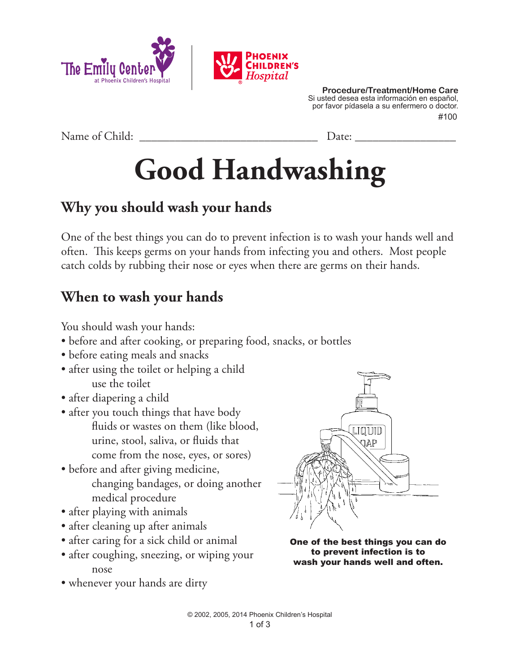



Name of Child: <u>Date:</u>

# **Good Handwashing**

## **Why you should wash your hands**

One of the best things you can do to prevent infection is to wash your hands well and often. This keeps germs on your hands from infecting you and others. Most people catch colds by rubbing their nose or eyes when there are germs on their hands.

## **When to wash your hands**

You should wash your hands:

- before and after cooking, or preparing food, snacks, or bottles
- before eating meals and snacks
- after using the toilet or helping a child use the toilet
- after diapering a child
- after you touch things that have body fluids or wastes on them (like blood, urine, stool, saliva, or fluids that come from the nose, eyes, or sores)
- before and after giving medicine, changing bandages, or doing another medical procedure
- after playing with animals
- after cleaning up after animals
- after caring for a sick child or animal
- after coughing, sneezing, or wiping your nose
- whenever your hands are dirty



One of the best things you can do to prevent infection is to wash your hands well and often.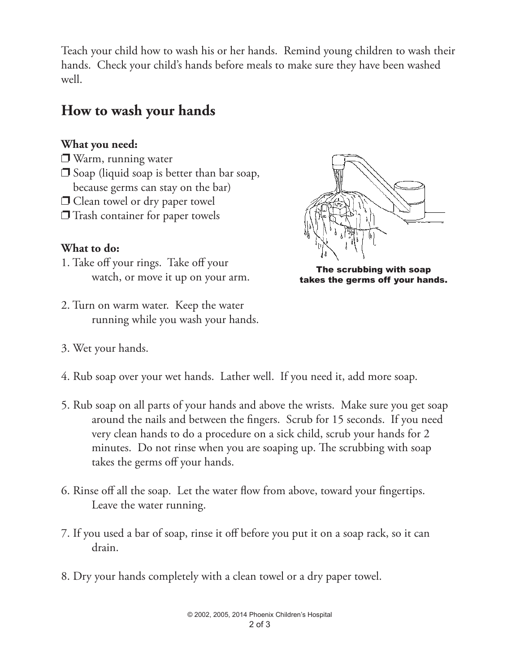Teach your child how to wash his or her hands. Remind young children to wash their hands. Check your child's hands before meals to make sure they have been washed well.

## **How to wash your hands**

#### **What you need:**

- $\Box$  Warm, running water
- $\Box$  Soap (liquid soap is better than bar soap, because germs can stay on the bar)
- $\Box$  Clean towel or dry paper towel
- $\Box$  Trash container for paper towels

#### **What to do:**

- 1. Take off your rings. Take off your watch, or move it up on your arm.
- 2. Turn on warm water. Keep the water running while you wash your hands.
- 3. Wet your hands.



The scrubbing with soap takes the germs off your hands.

- 4. Rub soap over your wet hands. Lather well. If you need it, add more soap.
- 5. Rub soap on all parts of your hands and above the wrists. Make sure you get soap around the nails and between the fingers. Scrub for 15 seconds. If you need very clean hands to do a procedure on a sick child, scrub your hands for 2 minutes. Do not rinse when you are soaping up. The scrubbing with soap takes the germs off your hands.
- 6. Rinse off all the soap. Let the water flow from above, toward your fingertips. Leave the water running.
- 7. If you used a bar of soap, rinse it off before you put it on a soap rack, so it can drain.
- 8. Dry your hands completely with a clean towel or a dry paper towel.